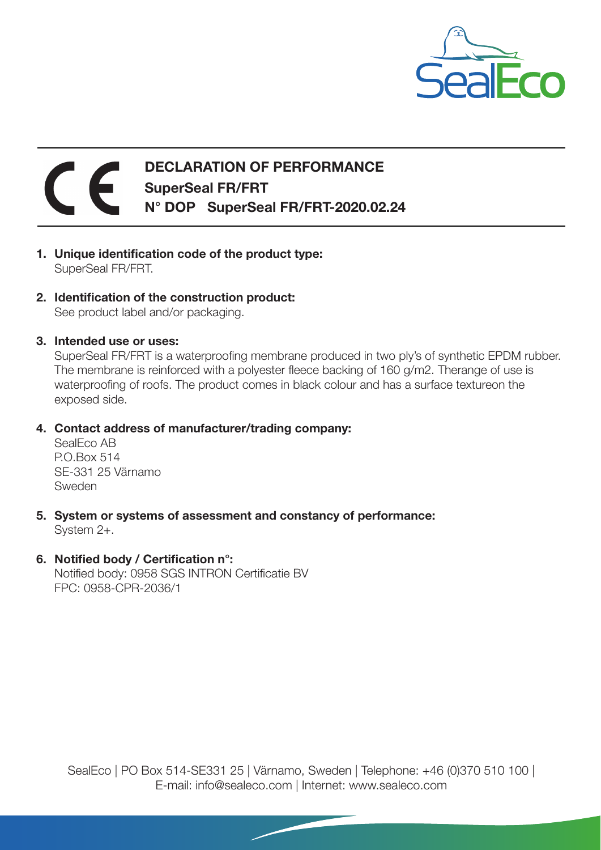

## DECLARATION OF PERFORMANCE SuperSeal FR/FRT N° DOP SuperSeal FR/FRT-2020.02.24

- 1. Unique identification code of the product type: SuperSeal FR/FRT.
- 2. Identification of the construction product: See product label and/or packaging.
- 3. Intended use or uses:

SuperSeal FR/FRT is a waterproofing membrane produced in two ply's of synthetic EPDM rubber. The membrane is reinforced with a polyester fleece backing of 160 g/m2. Therange of use is waterproofing of roofs. The product comes in black colour and has a surface textureon the exposed side.

4. Contact address of manufacturer/trading company:

SealEco AB P.O.Box 514 SE-331 25 Värnamo Sweden

- 5. System or systems of assessment and constancy of performance: System 2+.
- 6. Notified body / Certification n°:

Notified body: 0958 SGS INTRON Certificatie BV FPC: 0958-CPR-2036/1